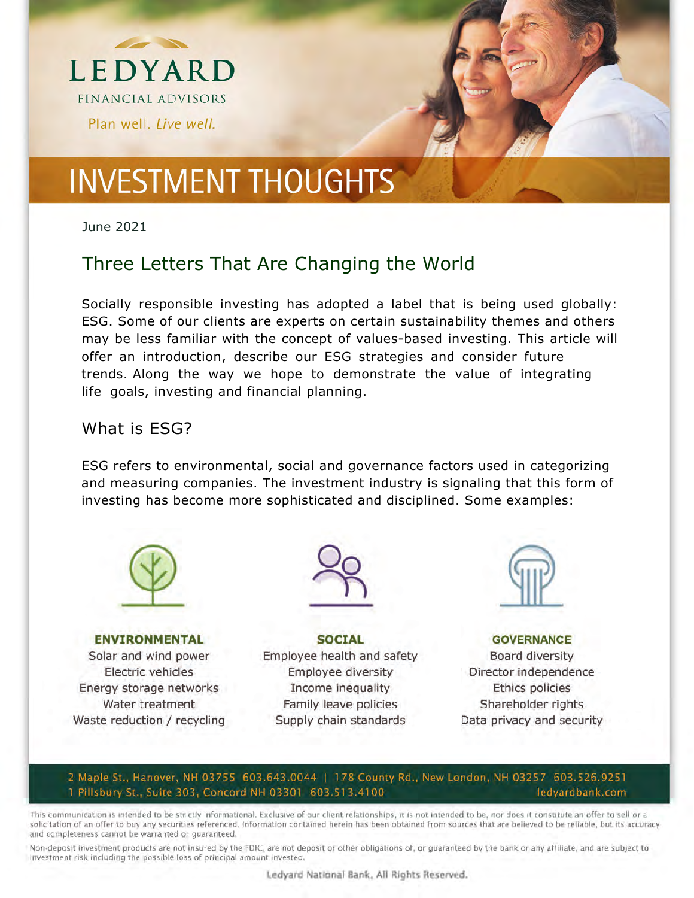



June 2021

### Three Letters That Are Changing the World

Socially responsible investing has adopted a label that is being used globally: ESG. Some of our clients are experts on certain sustainability themes and others may be less familiar with the concept of values-based investing. This article will offer an introduction, describe our ESG strategies and consider future trends. Along the way we hope to demonstrate the value of integrating life goals, investing and financial planning.

#### What is ESG?

ESG refers to environmental, social and governance factors used in categorizing and measuring companies. The investment industry is signaling that this form of investing has become more sophisticated and disciplined. Some examples:



**ENVIRONMENTAL** Solar and wind power Electric vehicles Energy storage networks Water treatment Waste reduction / recycling



**SOCIAL** Employee health and safety Employee diversity Income inequality Family leave policies Supply chain standards



**GOVERNANCE** Board diversity Director independence Ethics policies Shareholder rights Data privacy and security

#### 2 Maple St., Hanover, NH 03755 603.643.0044 | 178 County Rd., New London, NH 03257 603.526.9251 1 Pillsbury St., Suite 303, Concord NH 03301 603.513.4100 ledyardbank.com

This communication is intended to be strictly informational. Exclusive of our client relationships, it is not intended to be, nor does it constitute an offer to sell or a solicitation of an offer to buy any securities referenced. Information contained herein has been obtained from sources that are believed to be reliable, but its accuracy and completeness cannot be warranted or guaranteed.

Non-deposit investment products are not insured by the FDIC, are not deposit or other obligations of, or quaranteed by the bank or any affiliate, and are subject to Investment risk including the possible loss of principal amount invested.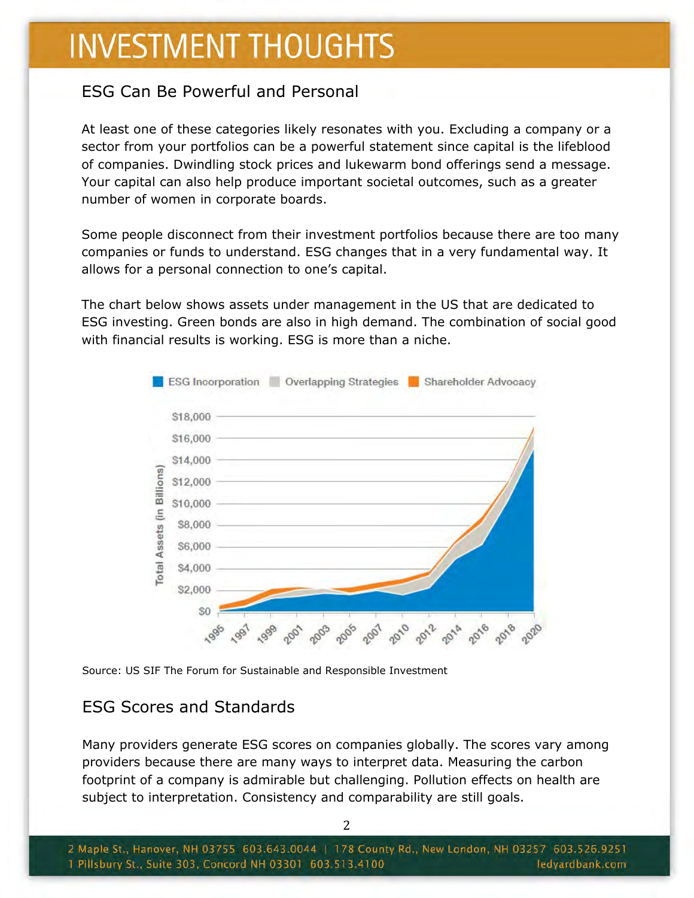### ESG Can Be Powerful and Personal

At least one of these categories likely resonates with you. Excluding a company or a sector from your portfolios can be a powerful statement since capital is the lifeblood of companies. Dwindling stock prices and lukewarm bond offerings send a message. Your capital can also help produce important societal outcomes, such as a greater number of women in corporate boards.

Some people disconnect from their investment portfolios because there are too many companies or funds to understand. ESG changes that in a very fundamental way. It allows for a personal connection to one's capital.

The chart below shows assets under management in the US that are dedicated to ESG investing. Green bonds are also in high demand. The combination of social good with financial results is working. ESG is more than a niche.



Source: US SIF The Forum for Sustainable and Responsible Investment

### ESG Scores and Standards

Many providers generate ESG scores on companies globally. The scores vary among providers because there are many ways to interpret data. Measuring the carbon footprint of a company is admirable but challenging. Pollution effects on health are subject to interpretation. Consistency and comparability are still goals.

2 Maple St., Hanover, NH 03755 603.643.0044 | 178 County Rd., New London, NH 03257 603.526.9251 1 Pillsbury St., Suite 303, Concord NH 03301 603.513.4100 ledyardbank.com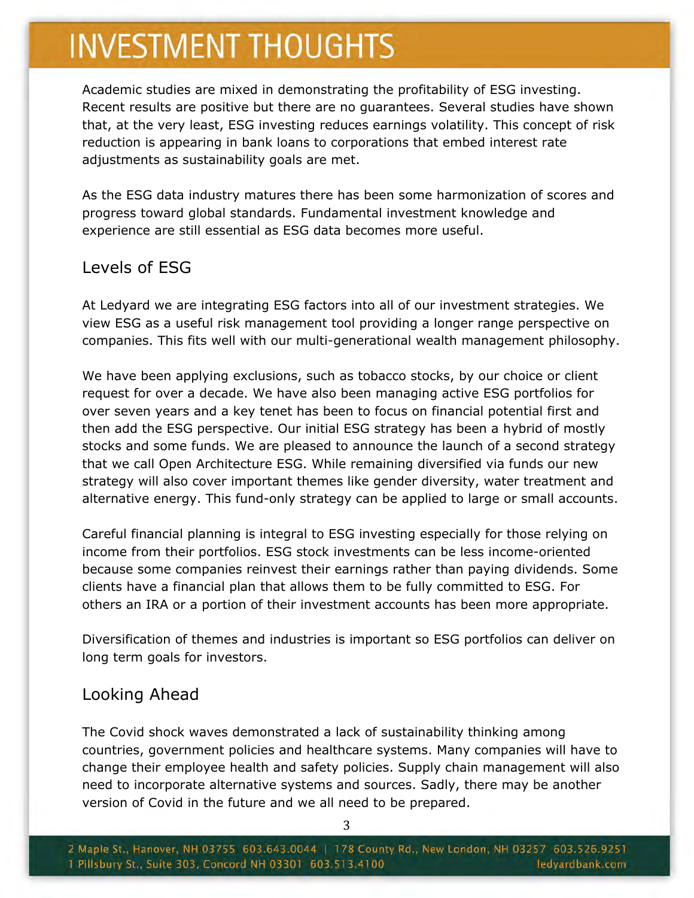Academic studies are mixed in demonstrating the profitability of ESG investing. Recent results are positive but there are no guarantees. Several studies have shown that, at the very least, ESG investing reduces earnings volatility. This concept of risk reduction is appearing in bank loans to corporations that embed interest rate adjustments as sustainability goals are met.

As the ESG data industry matures there has been some harmonization of scores and progress toward global standards. Fundamental investment knowledge and experience are still essential as ESG data becomes more useful.

#### Levels of ESG

At Ledyard we are integrating ESG factors into all of our investment strategies. We view ESG as a useful risk management tool providing a longer range perspective on companies. This fits well with our multi-generational wealth management philosophy.

We have been applying exclusions, such as tobacco stocks, by our choice or client request for over a decade. We have also been managing active ESG portfolios for over seven years and a key tenet has been to focus on financial potential first and then add the ESG perspective. Our initial ESG strategy has been a hybrid of mostly stocks and some funds. We are pleased to announce the launch of a second strategy that we call Open Architecture ESG. While remaining diversified via funds our new strategy will also cover important themes like gender diversity, water treatment and alternative energy. This fund-only strategy can be applied to large or small accounts.

Careful financial planning is integral to ESG investing especially for those relying on income from their portfolios. ESG stock investments can be less income-oriented because some companies reinvest their earnings rather than paying dividends. Some clients have a financial plan that allows them to be fully committed to ESG. For others an IRA or a portion of their investment accounts has been more appropriate.

Diversification of themes and industries is important so ESG portfolios can deliver on long term goals for investors.

#### Looking Ahead

The Covid shock waves demonstrated a lack of sustainability thinking among countries, government policies and healthcare systems. Many companies will have to change their employee health and safety policies. Supply chain management will also need to incorporate alternative systems and sources. Sadly, there may be another version of Covid in the future and we all need to be prepared.

3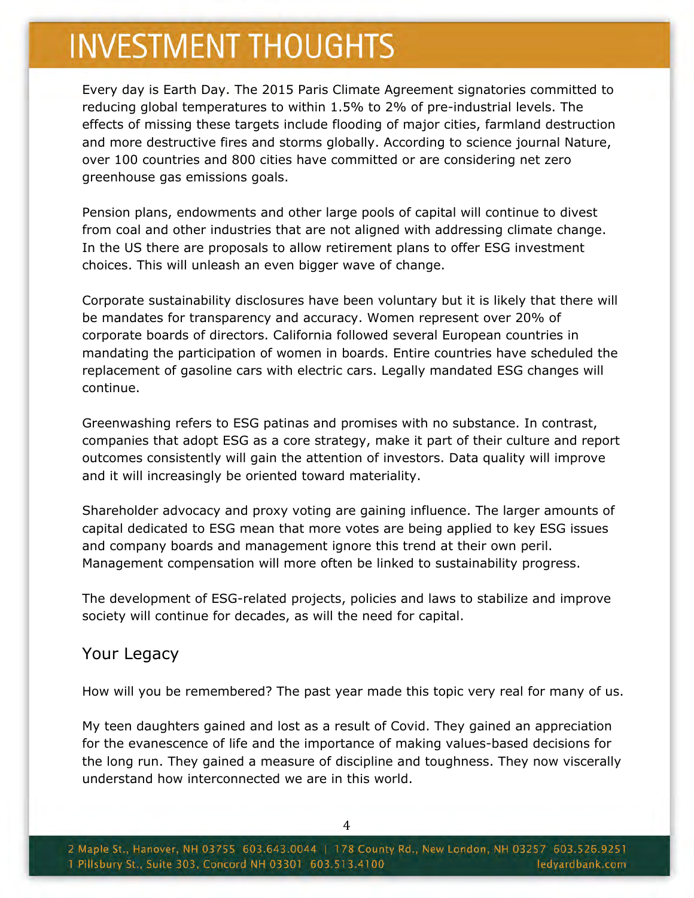Every day is Earth Day. The 2015 Paris Climate Agreement signatories committed to reducing global temperatures to within 1.5% to 2% of pre-industrial levels. The effects of missing these targets include flooding of major cities, farmland destruction and more destructive fires and storms globally. According to science journal Nature, over 100 countries and 800 cities have committed or are considering net zero greenhouse gas emissions goals.

Pension plans, endowments and other large pools of capital will continue to divest from coal and other industries that are not aligned with addressing climate change. In the US there are proposals to allow retirement plans to offer ESG investment choices. This will unleash an even bigger wave of change.

Corporate sustainability disclosures have been voluntary but it is likely that there will be mandates for transparency and accuracy. Women represent over 20% of corporate boards of directors. California followed several European countries in mandating the participation of women in boards. Entire countries have scheduled the replacement of gasoline cars with electric cars. Legally mandated ESG changes will continue.

Greenwashing refers to ESG patinas and promises with no substance. In contrast, companies that adopt ESG as a core strategy, make it part of their culture and report outcomes consistently will gain the attention of investors. Data quality will improve and it will increasingly be oriented toward materiality.

Shareholder advocacy and proxy voting are gaining influence. The larger amounts of capital dedicated to ESG mean that more votes are being applied to key ESG issues and company boards and management ignore this trend at their own peril. Management compensation will more often be linked to sustainability progress.

The development of ESG-related projects, policies and laws to stabilize and improve society will continue for decades, as will the need for capital.

#### Your Legacy

How will you be remembered? The past year made this topic very real for many of us.

My teen daughters gained and lost as a result of Covid. They gained an appreciation for the evanescence of life and the importance of making values-based decisions for the long run. They gained a measure of discipline and toughness. They now viscerally understand how interconnected we are in this world.